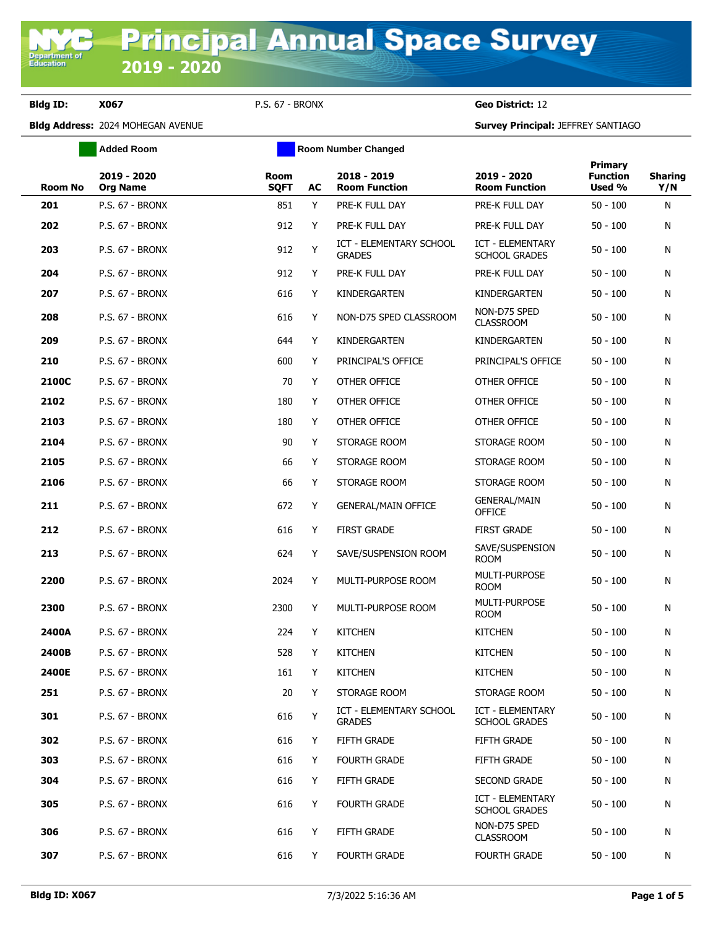**Bldg ID: X067** P.S. 67 - BRONX **Geo District:** 12

Department of<br>Education

|                | <b>Added Room</b>              | <b>Room Number Changed</b> |    |                                          |                                          |                                      |                       |
|----------------|--------------------------------|----------------------------|----|------------------------------------------|------------------------------------------|--------------------------------------|-----------------------|
| <b>Room No</b> | 2019 - 2020<br><b>Org Name</b> | <b>Room</b><br><b>SQFT</b> | AC | 2018 - 2019<br><b>Room Function</b>      | 2019 - 2020<br><b>Room Function</b>      | Primary<br><b>Function</b><br>Used % | <b>Sharing</b><br>Y/N |
| 201            | <b>P.S. 67 - BRONX</b>         | 851                        | Y  | PRE-K FULL DAY                           | PRE-K FULL DAY                           | $50 - 100$                           | N                     |
| 202            | <b>P.S. 67 - BRONX</b>         | 912                        | Y  | PRE-K FULL DAY                           | PRE-K FULL DAY                           | $50 - 100$                           | N                     |
| 203            | <b>P.S. 67 - BRONX</b>         | 912                        | Y  | ICT - ELEMENTARY SCHOOL<br><b>GRADES</b> | ICT - ELEMENTARY<br><b>SCHOOL GRADES</b> | 50 - 100                             | Ν                     |
| 204            | <b>P.S. 67 - BRONX</b>         | 912                        | Y  | PRE-K FULL DAY                           | PRE-K FULL DAY                           | $50 - 100$                           | N                     |
| 207            | <b>P.S. 67 - BRONX</b>         | 616                        | Y  | KINDERGARTEN                             | KINDERGARTEN                             | $50 - 100$                           | N                     |
| 208            | <b>P.S. 67 - BRONX</b>         | 616                        | Y  | NON-D75 SPED CLASSROOM                   | NON-D75 SPED<br><b>CLASSROOM</b>         | $50 - 100$                           | N                     |
| 209            | <b>P.S. 67 - BRONX</b>         | 644                        | Y  | KINDERGARTEN                             | KINDERGARTEN                             | $50 - 100$                           | N                     |
| 210            | <b>P.S. 67 - BRONX</b>         | 600                        | Y  | PRINCIPAL'S OFFICE                       | PRINCIPAL'S OFFICE                       | $50 - 100$                           | N                     |
| 2100C          | <b>P.S. 67 - BRONX</b>         | 70                         | Y  | OTHER OFFICE                             | OTHER OFFICE                             | $50 - 100$                           | N                     |
| 2102           | <b>P.S. 67 - BRONX</b>         | 180                        | Y  | OTHER OFFICE                             | OTHER OFFICE                             | $50 - 100$                           | N                     |
| 2103           | <b>P.S. 67 - BRONX</b>         | 180                        | Y  | OTHER OFFICE                             | OTHER OFFICE                             | $50 - 100$                           | N                     |
| 2104           | <b>P.S. 67 - BRONX</b>         | 90                         | Y  | STORAGE ROOM                             | STORAGE ROOM                             | $50 - 100$                           | N                     |
| 2105           | <b>P.S. 67 - BRONX</b>         | 66                         | Y  | STORAGE ROOM                             | STORAGE ROOM                             | $50 - 100$                           | N                     |
| 2106           | P.S. 67 - BRONX                | 66                         | Y  | STORAGE ROOM                             | STORAGE ROOM                             | $50 - 100$                           | N                     |
| 211            | <b>P.S. 67 - BRONX</b>         | 672                        | Y  | <b>GENERAL/MAIN OFFICE</b>               | <b>GENERAL/MAIN</b><br><b>OFFICE</b>     | $50 - 100$                           | N                     |
| 212            | <b>P.S. 67 - BRONX</b>         | 616                        | Y  | <b>FIRST GRADE</b>                       | <b>FIRST GRADE</b>                       | $50 - 100$                           | N                     |
| 213            | <b>P.S. 67 - BRONX</b>         | 624                        | Y  | SAVE/SUSPENSION ROOM                     | SAVE/SUSPENSION<br><b>ROOM</b>           | $50 - 100$                           | N                     |
| 2200           | <b>P.S. 67 - BRONX</b>         | 2024                       | Y  | MULTI-PURPOSE ROOM                       | MULTI-PURPOSE<br><b>ROOM</b>             | $50 - 100$                           | N                     |
| 2300           | <b>P.S. 67 - BRONX</b>         | 2300                       | Y  | MULTI-PURPOSE ROOM                       | <b>MULTI-PURPOSE</b><br><b>ROOM</b>      | $50 - 100$                           | N                     |
| 2400A          | <b>P.S. 67 - BRONX</b>         | 224                        | Y  | <b>KITCHEN</b>                           | <b>KITCHEN</b>                           | $50 - 100$                           | N                     |
| 2400B          | <b>P.S. 67 - BRONX</b>         | 528                        | Y  | <b>KITCHEN</b>                           | <b>KITCHEN</b>                           | $50 - 100$                           | N                     |
| 2400E          | <b>P.S. 67 - BRONX</b>         | 161                        | Y  | <b>KITCHEN</b>                           | <b>KITCHEN</b>                           | $50 - 100$                           | N                     |
| 251            | <b>P.S. 67 - BRONX</b>         | 20                         | Y  | STORAGE ROOM                             | STORAGE ROOM                             | $50 - 100$                           | N                     |
| 301            | P.S. 67 - BRONX                | 616                        | Y  | ICT - ELEMENTARY SCHOOL<br><b>GRADES</b> | ICT - ELEMENTARY<br><b>SCHOOL GRADES</b> | $50 - 100$                           | N                     |
| 302            | <b>P.S. 67 - BRONX</b>         | 616                        | Y  | <b>FIFTH GRADE</b>                       | <b>FIFTH GRADE</b>                       | $50 - 100$                           | N                     |
| 303            | <b>P.S. 67 - BRONX</b>         | 616                        | Y  | <b>FOURTH GRADE</b>                      | FIFTH GRADE                              | $50 - 100$                           | N                     |
| 304            | P.S. 67 - BRONX                | 616                        | Y  | FIFTH GRADE                              | <b>SECOND GRADE</b>                      | $50 - 100$                           | N                     |
| 305            | P.S. 67 - BRONX                | 616                        | Y  | <b>FOURTH GRADE</b>                      | ICT - ELEMENTARY<br><b>SCHOOL GRADES</b> | $50 - 100$                           | N                     |
| 306            | P.S. 67 - BRONX                | 616                        | Y  | FIFTH GRADE                              | NON-D75 SPED<br><b>CLASSROOM</b>         | $50 - 100$                           | N                     |
| 307            | P.S. 67 - BRONX                | 616                        | Y  | <b>FOURTH GRADE</b>                      | <b>FOURTH GRADE</b>                      | $50 - 100$                           | N                     |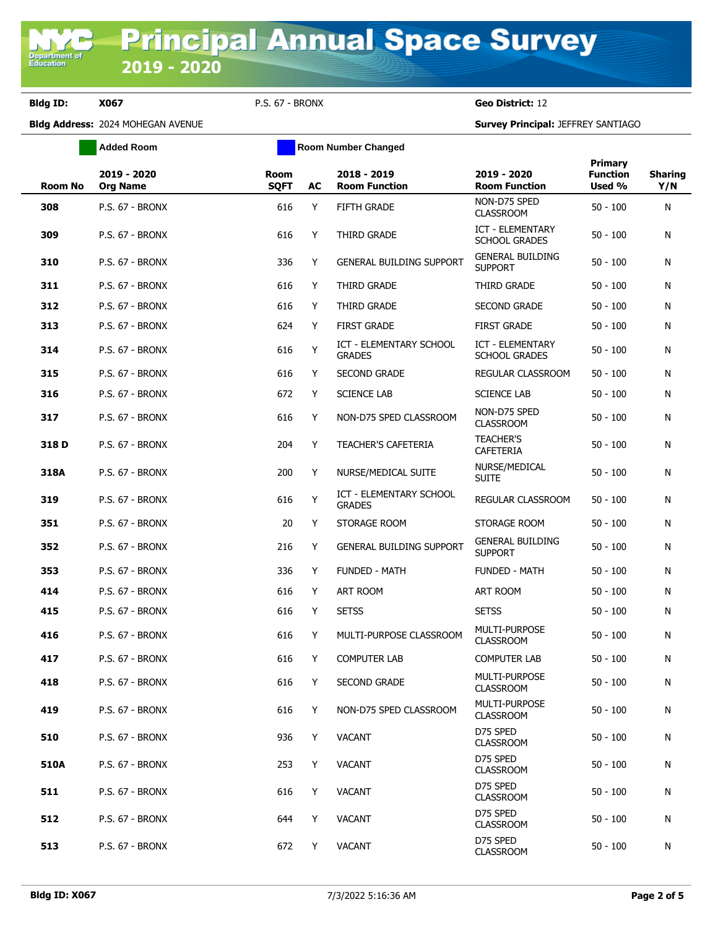**Bldg ID: X067** P.S. 67 - BRONX **Geo District:** 12

|         | <b>Added Room</b>              | <b>Room Number Changed</b> |    |                                          |                                                 |                                      |                       |
|---------|--------------------------------|----------------------------|----|------------------------------------------|-------------------------------------------------|--------------------------------------|-----------------------|
| Room No | 2019 - 2020<br><b>Org Name</b> | Room<br><b>SQFT</b>        | AC | 2018 - 2019<br><b>Room Function</b>      | 2019 - 2020<br><b>Room Function</b>             | Primary<br><b>Function</b><br>Used % | <b>Sharing</b><br>Y/N |
| 308     | P.S. 67 - BRONX                | 616                        | Y  | <b>FIFTH GRADE</b>                       | NON-D75 SPED<br><b>CLASSROOM</b>                | $50 - 100$                           | N                     |
| 309     | <b>P.S. 67 - BRONX</b>         | 616                        | Y  | THIRD GRADE                              | <b>ICT - ELEMENTARY</b><br><b>SCHOOL GRADES</b> | $50 - 100$                           | N                     |
| 310     | <b>P.S. 67 - BRONX</b>         | 336                        | Y  | <b>GENERAL BUILDING SUPPORT</b>          | <b>GENERAL BUILDING</b><br><b>SUPPORT</b>       | $50 - 100$                           | N                     |
| 311     | <b>P.S. 67 - BRONX</b>         | 616                        | Y  | THIRD GRADE                              | THIRD GRADE                                     | $50 - 100$                           | N                     |
| 312     | P.S. 67 - BRONX                | 616                        | Y  | THIRD GRADE                              | <b>SECOND GRADE</b>                             | $50 - 100$                           | N                     |
| 313     | <b>P.S. 67 - BRONX</b>         | 624                        | Y  | <b>FIRST GRADE</b>                       | <b>FIRST GRADE</b>                              | $50 - 100$                           | N                     |
| 314     | P.S. 67 - BRONX                | 616                        | Y  | ICT - ELEMENTARY SCHOOL<br><b>GRADES</b> | ICT - ELEMENTARY<br><b>SCHOOL GRADES</b>        | $50 - 100$                           | N                     |
| 315     | <b>P.S. 67 - BRONX</b>         | 616                        | Y  | <b>SECOND GRADE</b>                      | REGULAR CLASSROOM                               | $50 - 100$                           | N                     |
| 316     | <b>P.S. 67 - BRONX</b>         | 672                        | Y  | <b>SCIENCE LAB</b>                       | <b>SCIENCE LAB</b>                              | $50 - 100$                           | N                     |
| 317     | <b>P.S. 67 - BRONX</b>         | 616                        | Y  | NON-D75 SPED CLASSROOM                   | NON-D75 SPED<br><b>CLASSROOM</b>                | $50 - 100$                           | N                     |
| 318 D   | <b>P.S. 67 - BRONX</b>         | 204                        | Y  | TEACHER'S CAFETERIA                      | <b>TEACHER'S</b><br>CAFETERIA                   | $50 - 100$                           | N                     |
| 318A    | <b>P.S. 67 - BRONX</b>         | 200                        | Y  | NURSE/MEDICAL SUITE                      | NURSE/MEDICAL<br><b>SUITE</b>                   | $50 - 100$                           | N                     |
| 319     | <b>P.S. 67 - BRONX</b>         | 616                        | Y  | ICT - ELEMENTARY SCHOOL<br><b>GRADES</b> | REGULAR CLASSROOM                               | $50 - 100$                           | N                     |
| 351     | <b>P.S. 67 - BRONX</b>         | 20                         | Y  | STORAGE ROOM                             | STORAGE ROOM                                    | $50 - 100$                           | N                     |
| 352     | <b>P.S. 67 - BRONX</b>         | 216                        | Y  | <b>GENERAL BUILDING SUPPORT</b>          | <b>GENERAL BUILDING</b><br><b>SUPPORT</b>       | $50 - 100$                           | N                     |
| 353     | <b>P.S. 67 - BRONX</b>         | 336                        | Y  | <b>FUNDED - MATH</b>                     | <b>FUNDED - MATH</b>                            | $50 - 100$                           | N                     |
| 414     | <b>P.S. 67 - BRONX</b>         | 616                        | Y  | <b>ART ROOM</b>                          | <b>ART ROOM</b>                                 | $50 - 100$                           | N                     |
| 415     | <b>P.S. 67 - BRONX</b>         | 616                        | Y  | <b>SETSS</b>                             | <b>SETSS</b>                                    | $50 - 100$                           | N                     |
| 416     | <b>P.S. 67 - BRONX</b>         | 616                        | Y  | MULTI-PURPOSE CLASSROOM                  | MULTI-PURPOSE<br><b>CLASSROOM</b>               | $50 - 100$                           | N                     |
| 417     | <b>P.S. 67 - BRONX</b>         | 616                        | Y  | <b>COMPUTER LAB</b>                      | <b>COMPUTER LAB</b>                             | $50 - 100$                           | N                     |
| 418     | <b>P.S. 67 - BRONX</b>         | 616                        | Y  | <b>SECOND GRADE</b>                      | MULTI-PURPOSE<br><b>CLASSROOM</b>               | $50 - 100$                           | N                     |
| 419     | <b>P.S. 67 - BRONX</b>         | 616                        | Y  | NON-D75 SPED CLASSROOM                   | MULTI-PURPOSE<br><b>CLASSROOM</b>               | $50 - 100$                           | N                     |
| 510     | <b>P.S. 67 - BRONX</b>         | 936                        | Y  | <b>VACANT</b>                            | D75 SPED<br><b>CLASSROOM</b>                    | $50 - 100$                           | N                     |
| 510A    | <b>P.S. 67 - BRONX</b>         | 253                        | Y  | <b>VACANT</b>                            | D75 SPED<br><b>CLASSROOM</b>                    | $50 - 100$                           | N                     |
| 511     | P.S. 67 - BRONX                | 616                        | Y  | <b>VACANT</b>                            | D75 SPED<br><b>CLASSROOM</b>                    | $50 - 100$                           | N                     |
| 512     | <b>P.S. 67 - BRONX</b>         | 644                        | Y  | <b>VACANT</b>                            | D75 SPED<br><b>CLASSROOM</b>                    | $50 - 100$                           | N                     |
| 513     | P.S. 67 - BRONX                | 672                        | Y  | <b>VACANT</b>                            | D75 SPED<br><b>CLASSROOM</b>                    | $50 - 100$                           | N                     |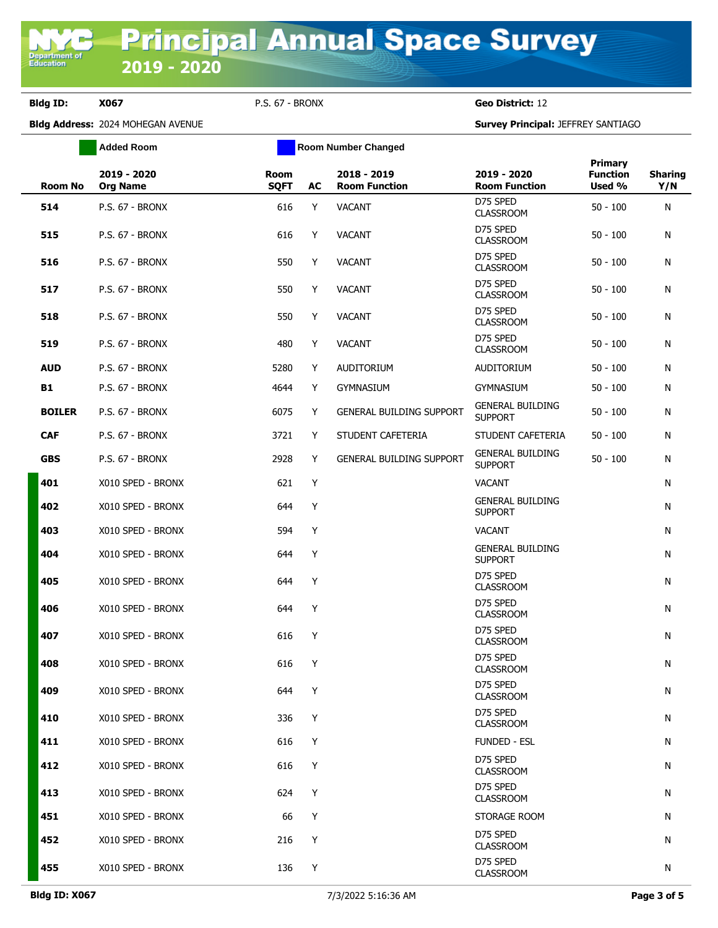**Bldg ID: X067** P.S. 67 - BRONX **Geo District:** 12

|               | <b>Added Room</b>              |                            |    | <b>Room Number Changed</b>            |                                           |                                             |                       |
|---------------|--------------------------------|----------------------------|----|---------------------------------------|-------------------------------------------|---------------------------------------------|-----------------------|
| Room No       | 2019 - 2020<br><b>Org Name</b> | <b>Room</b><br><b>SQFT</b> | AC | $2018 - 2019$<br><b>Room Function</b> | 2019 - 2020<br><b>Room Function</b>       | <b>Primary</b><br><b>Function</b><br>Used % | <b>Sharing</b><br>Y/N |
| 514           | <b>P.S. 67 - BRONX</b>         | 616                        | Y  | <b>VACANT</b>                         | D75 SPED<br><b>CLASSROOM</b>              | $50 - 100$                                  | N                     |
| 515           | P.S. 67 - BRONX                | 616                        | Y  | <b>VACANT</b>                         | D75 SPED<br><b>CLASSROOM</b>              | $50 - 100$                                  | N                     |
| 516           | P.S. 67 - BRONX                | 550                        | Y  | <b>VACANT</b>                         | D75 SPED<br><b>CLASSROOM</b>              | $50 - 100$                                  | N                     |
| 517           | P.S. 67 - BRONX                | 550                        | Y  | <b>VACANT</b>                         | D75 SPED<br><b>CLASSROOM</b>              | $50 - 100$                                  | N                     |
| 518           | P.S. 67 - BRONX                | 550                        | Y  | <b>VACANT</b>                         | D75 SPED<br><b>CLASSROOM</b>              | $50 - 100$                                  | N                     |
| 519           | <b>P.S. 67 - BRONX</b>         | 480                        | Y  | <b>VACANT</b>                         | D75 SPED<br><b>CLASSROOM</b>              | $50 - 100$                                  | N                     |
| <b>AUD</b>    | P.S. 67 - BRONX                | 5280                       | Y  | <b>AUDITORIUM</b>                     | <b>AUDITORIUM</b>                         | $50 - 100$                                  | N                     |
| <b>B1</b>     | <b>P.S. 67 - BRONX</b>         | 4644                       | Y  | <b>GYMNASIUM</b>                      | <b>GYMNASIUM</b>                          | $50 - 100$                                  | N                     |
| <b>BOILER</b> | P.S. 67 - BRONX                | 6075                       | Y  | <b>GENERAL BUILDING SUPPORT</b>       | <b>GENERAL BUILDING</b><br><b>SUPPORT</b> | $50 - 100$                                  | N                     |
| <b>CAF</b>    | P.S. 67 - BRONX                | 3721                       | Y  | STUDENT CAFETERIA                     | STUDENT CAFETERIA                         | $50 - 100$                                  | N                     |
| <b>GBS</b>    | P.S. 67 - BRONX                | 2928                       | Y  | <b>GENERAL BUILDING SUPPORT</b>       | <b>GENERAL BUILDING</b><br><b>SUPPORT</b> | $50 - 100$                                  | N                     |
| 401           | X010 SPED - BRONX              | 621                        | Y  |                                       | <b>VACANT</b>                             |                                             | N                     |
| 402           | X010 SPED - BRONX              | 644                        | Y  |                                       | <b>GENERAL BUILDING</b><br><b>SUPPORT</b> |                                             | N                     |
| 403           | X010 SPED - BRONX              | 594                        | Y  |                                       | <b>VACANT</b>                             |                                             | N                     |
| 404           | X010 SPED - BRONX              | 644                        | Y  |                                       | <b>GENERAL BUILDING</b><br><b>SUPPORT</b> |                                             | N                     |
| 405           | X010 SPED - BRONX              | 644                        | Y  |                                       | D75 SPED<br><b>CLASSROOM</b>              |                                             | N                     |
| 406           | X010 SPED - BRONX              | 644                        | Y  |                                       | D75 SPED<br><b>CLASSROOM</b>              |                                             | N                     |
| 407           | X010 SPED - BRONX              | 616                        | Y  |                                       | D75 SPED<br><b>CLASSROOM</b>              |                                             | N                     |
| 408           | X010 SPED - BRONX              | 616                        | Y  |                                       | D75 SPED<br><b>CLASSROOM</b>              |                                             | N                     |
| 409           | X010 SPED - BRONX              | 644                        | Y  |                                       | D75 SPED<br><b>CLASSROOM</b>              |                                             | N                     |
| 410           | X010 SPED - BRONX              | 336                        | Y  |                                       | D75 SPED<br><b>CLASSROOM</b>              |                                             | N                     |
| 411           | X010 SPED - BRONX              | 616                        | Y  |                                       | <b>FUNDED - ESL</b>                       |                                             | N                     |
| 412           | X010 SPED - BRONX              | 616                        | Y  |                                       | D75 SPED<br><b>CLASSROOM</b>              |                                             | N                     |
| 413           | X010 SPED - BRONX              | 624                        | Υ  |                                       | D75 SPED<br><b>CLASSROOM</b>              |                                             | N                     |
| 451           | X010 SPED - BRONX              | 66                         | Y  |                                       | STORAGE ROOM                              |                                             | N                     |
| 452           | X010 SPED - BRONX              | 216                        | Υ  |                                       | D75 SPED<br><b>CLASSROOM</b>              |                                             | N                     |
| 455           | X010 SPED - BRONX              | 136                        | Y  |                                       | D75 SPED<br><b>CLASSROOM</b>              |                                             | N                     |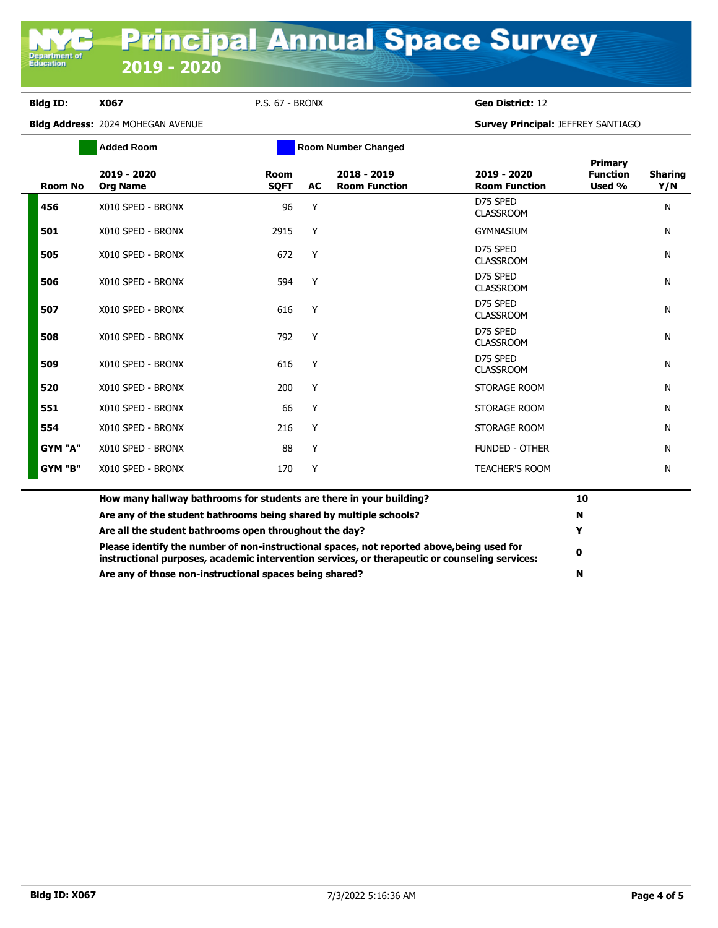**Department o**<br>Education

**Bldg ID: X067** P.S. 67 - BRONX **Geo District:** 12

|                | <b>Added Room</b>                                                                                                                                                                            |                     |           | <b>Room Number Changed</b>          |                                     |                                      |                       |
|----------------|----------------------------------------------------------------------------------------------------------------------------------------------------------------------------------------------|---------------------|-----------|-------------------------------------|-------------------------------------|--------------------------------------|-----------------------|
| <b>Room No</b> | 2019 - 2020<br><b>Org Name</b>                                                                                                                                                               | Room<br><b>SOFT</b> | <b>AC</b> | 2018 - 2019<br><b>Room Function</b> | 2019 - 2020<br><b>Room Function</b> | Primary<br><b>Function</b><br>Used % | <b>Sharing</b><br>Y/N |
| 456            | X010 SPED - BRONX                                                                                                                                                                            | 96                  | Y         |                                     | D75 SPED<br><b>CLASSROOM</b>        |                                      | N                     |
| 501            | X010 SPED - BRONX                                                                                                                                                                            | 2915                | Y         |                                     | <b>GYMNASIUM</b>                    |                                      | N                     |
| 505            | X010 SPED - BRONX                                                                                                                                                                            | 672                 | Y         |                                     | D75 SPED<br><b>CLASSROOM</b>        |                                      | N                     |
| 506            | X010 SPED - BRONX                                                                                                                                                                            | 594                 | Y         |                                     | D75 SPED<br><b>CLASSROOM</b>        |                                      | N                     |
| 507            | X010 SPED - BRONX                                                                                                                                                                            | 616                 | Y         |                                     | D75 SPED<br><b>CLASSROOM</b>        |                                      | N                     |
| 508            | X010 SPED - BRONX                                                                                                                                                                            | 792                 | Y         |                                     | D75 SPED<br><b>CLASSROOM</b>        |                                      | N                     |
| 509            | X010 SPED - BRONX                                                                                                                                                                            | 616                 | Y         |                                     | D75 SPED<br><b>CLASSROOM</b>        |                                      | N                     |
| 520            | X010 SPED - BRONX                                                                                                                                                                            | 200                 | Y         |                                     | STORAGE ROOM                        |                                      | N                     |
| 551            | X010 SPED - BRONX                                                                                                                                                                            | 66                  | Y         |                                     | STORAGE ROOM                        |                                      | N                     |
| 554            | X010 SPED - BRONX                                                                                                                                                                            | 216                 | Y         |                                     | STORAGE ROOM                        |                                      | N                     |
| GYM "A"        | X010 SPED - BRONX                                                                                                                                                                            | 88                  | Y         |                                     | <b>FUNDED - OTHER</b>               |                                      | N                     |
| GYM "B"        | X010 SPED - BRONX                                                                                                                                                                            | 170                 | Y         |                                     | <b>TEACHER'S ROOM</b>               |                                      | N                     |
|                | How many hallway bathrooms for students are there in your building?                                                                                                                          |                     |           |                                     |                                     | 10                                   |                       |
|                | Are any of the student bathrooms being shared by multiple schools?                                                                                                                           |                     |           |                                     |                                     | N                                    |                       |
|                | Are all the student bathrooms open throughout the day?                                                                                                                                       |                     |           |                                     |                                     | Y                                    |                       |
|                | Please identify the number of non-instructional spaces, not reported above, being used for<br>instructional purposes, academic intervention services, or therapeutic or counseling services: |                     |           |                                     |                                     | 0                                    |                       |
|                | Are any of those non-instructional spaces being shared?                                                                                                                                      |                     |           |                                     |                                     | N                                    |                       |